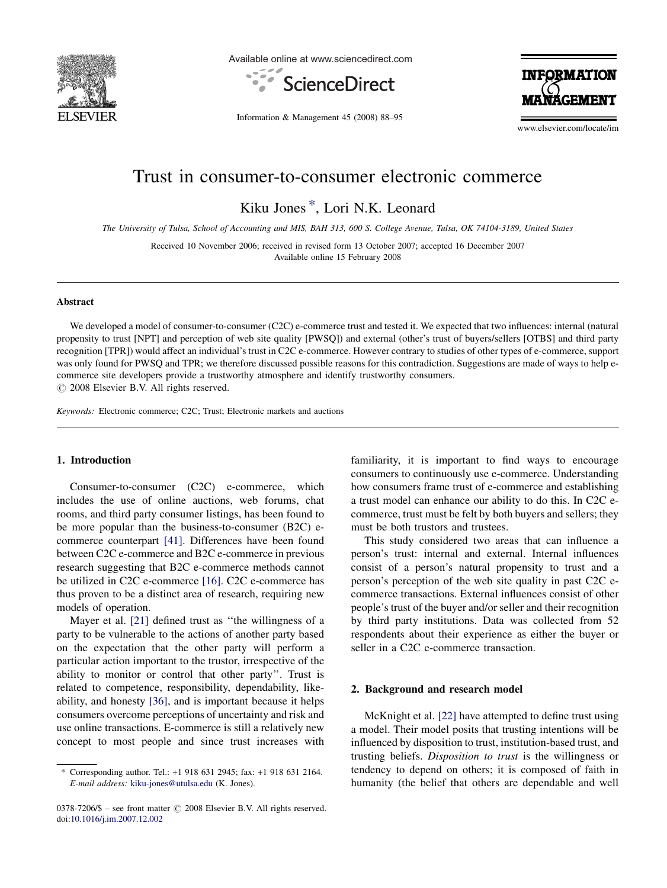

Available online at www.sciencedirect.com



**INFORMATION** 

Information & Management 45 (2008) 88–95

www.elsevier.com/locate/im

# Trust in consumer-to-consumer electronic commerce

Kiku Jones \*, Lori N.K. Leonard

The University of Tulsa, School of Accounting and MIS, BAH 313, 600 S. College Avenue, Tulsa, OK 74104-3189, United States

Received 10 November 2006; received in revised form 13 October 2007; accepted 16 December 2007 Available online 15 February 2008

#### Abstract

We developed a model of consumer-to-consumer (C2C) e-commerce trust and tested it. We expected that two influences: internal (natural propensity to trust [NPT] and perception of web site quality [PWSQ]) and external (other's trust of buyers/sellers [OTBS] and third party recognition [TPR]) would affect an individual's trust in C2C e-commerce. However contrary to studies of other types of e-commerce, support was only found for PWSQ and TPR; we therefore discussed possible reasons for this contradiction. Suggestions are made of ways to help ecommerce site developers provide a trustworthy atmosphere and identify trustworthy consumers.  $\circ$  2008 Elsevier B.V. All rights reserved.

Keywords: Electronic commerce; C2C; Trust; Electronic markets and auctions

# 1. Introduction

Consumer-to-consumer (C2C) e-commerce, which includes the use of online auctions, web forums, chat rooms, and third party consumer listings, has been found to be more popular than the business-to-consumer (B2C) ecommerce counterpart [\[41\]](#page--1-0). Differences have been found between C2C e-commerce and B2C e-commerce in previous research suggesting that B2C e-commerce methods cannot be utilized in C2C e-commerce [\[16\]](#page--1-0). C2C e-commerce has thus proven to be a distinct area of research, requiring new models of operation.

Mayer et al. [\[21\]](#page--1-0) defined trust as "the willingness of a party to be vulnerable to the actions of another party based on the expectation that the other party will perform a particular action important to the trustor, irrespective of the ability to monitor or control that other party''. Trust is related to competence, responsibility, dependability, likeability, and honesty [\[36\],](#page--1-0) and is important because it helps consumers overcome perceptions of uncertainty and risk and use online transactions. E-commerce is still a relatively new concept to most people and since trust increases with familiarity, it is important to find ways to encourage consumers to continuously use e-commerce. Understanding how consumers frame trust of e-commerce and establishing a trust model can enhance our ability to do this. In C2C ecommerce, trust must be felt by both buyers and sellers; they must be both trustors and trustees.

This study considered two areas that can influence a person's trust: internal and external. Internal influences consist of a person's natural propensity to trust and a person's perception of the web site quality in past C2C ecommerce transactions. External influences consist of other people's trust of the buyer and/or seller and their recognition by third party institutions. Data was collected from 52 respondents about their experience as either the buyer or seller in a C2C e-commerce transaction.

#### 2. Background and research model

McKnight et al. [\[22\]](#page--1-0) have attempted to define trust using a model. Their model posits that trusting intentions will be influenced by disposition to trust, institution-based trust, and trusting beliefs. Disposition to trust is the willingness or tendency to depend on others; it is composed of faith in humanity (the belief that others are dependable and well

<sup>\*</sup> Corresponding author. Tel.: +1 918 631 2945; fax: +1 918 631 2164. E-mail address: [kiku-jones@utulsa.edu](mailto:kiku-jones@utulsa.edu) (K. Jones).

 $0378-7206/$ \$ – see front matter  $\odot$  2008 Elsevier B.V. All rights reserved. doi[:10.1016/j.im.2007.12.002](http://dx.doi.org/10.1016/j.im.2007.12.002)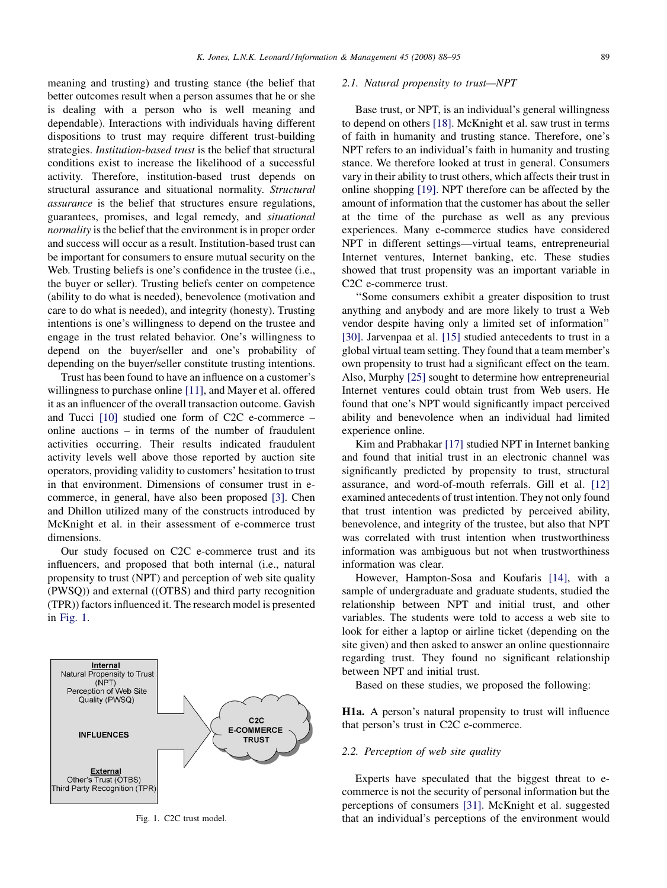meaning and trusting) and trusting stance (the belief that better outcomes result when a person assumes that he or she is dealing with a person who is well meaning and dependable). Interactions with individuals having different dispositions to trust may require different trust-building strategies. Institution-based trust is the belief that structural conditions exist to increase the likelihood of a successful activity. Therefore, institution-based trust depends on structural assurance and situational normality. Structural assurance is the belief that structures ensure regulations, guarantees, promises, and legal remedy, and situational normality is the belief that the environment is in proper order and success will occur as a result. Institution-based trust can be important for consumers to ensure mutual security on the Web. Trusting beliefs is one's confidence in the trustee (i.e., the buyer or seller). Trusting beliefs center on competence (ability to do what is needed), benevolence (motivation and care to do what is needed), and integrity (honesty). Trusting intentions is one's willingness to depend on the trustee and engage in the trust related behavior. One's willingness to depend on the buyer/seller and one's probability of depending on the buyer/seller constitute trusting intentions.

Trust has been found to have an influence on a customer's willingness to purchase online [\[11\],](#page--1-0) and Mayer et al. offered it as an influencer of the overall transaction outcome. Gavish and Tucci [\[10\]](#page--1-0) studied one form of C2C e-commerce – online auctions – in terms of the number of fraudulent activities occurring. Their results indicated fraudulent activity levels well above those reported by auction site operators, providing validity to customers' hesitation to trust in that environment. Dimensions of consumer trust in ecommerce, in general, have also been proposed [\[3\]](#page--1-0). Chen and Dhillon utilized many of the constructs introduced by McKnight et al. in their assessment of e-commerce trust dimensions.

Our study focused on C2C e-commerce trust and its influencers, and proposed that both internal (i.e., natural propensity to trust (NPT) and perception of web site quality (PWSQ)) and external ((OTBS) and third party recognition (TPR)) factors influenced it. The research model is presented in Fig. 1.



Fig. 1. C2C trust model.

## 2.1. Natural propensity to trust—NPT

Base trust, or NPT, is an individual's general willingness to depend on others [\[18\]](#page--1-0). McKnight et al. saw trust in terms of faith in humanity and trusting stance. Therefore, one's NPT refers to an individual's faith in humanity and trusting stance. We therefore looked at trust in general. Consumers vary in their ability to trust others, which affects their trust in online shopping [\[19\]](#page--1-0). NPT therefore can be affected by the amount of information that the customer has about the seller at the time of the purchase as well as any previous experiences. Many e-commerce studies have considered NPT in different settings—virtual teams, entrepreneurial Internet ventures, Internet banking, etc. These studies showed that trust propensity was an important variable in C2C e-commerce trust.

''Some consumers exhibit a greater disposition to trust anything and anybody and are more likely to trust a Web vendor despite having only a limited set of information'' [\[30\]](#page--1-0). Jarvenpaa et al. [\[15\]](#page--1-0) studied antecedents to trust in a global virtual team setting. They found that a team member's own propensity to trust had a significant effect on the team. Also, Murphy [\[25\]](#page--1-0) sought to determine how entrepreneurial Internet ventures could obtain trust from Web users. He found that one's NPT would significantly impact perceived ability and benevolence when an individual had limited experience online.

Kim and Prabhakar [\[17\]](#page--1-0) studied NPT in Internet banking and found that initial trust in an electronic channel was significantly predicted by propensity to trust, structural assurance, and word-of-mouth referrals. Gill et al. [\[12\]](#page--1-0) examined antecedents of trust intention. They not only found that trust intention was predicted by perceived ability, benevolence, and integrity of the trustee, but also that NPT was correlated with trust intention when trustworthiness information was ambiguous but not when trustworthiness information was clear.

However, Hampton-Sosa and Koufaris [\[14\],](#page--1-0) with a sample of undergraduate and graduate students, studied the relationship between NPT and initial trust, and other variables. The students were told to access a web site to look for either a laptop or airline ticket (depending on the site given) and then asked to answer an online questionnaire regarding trust. They found no significant relationship between NPT and initial trust.

Based on these studies, we proposed the following:

H1a. A person's natural propensity to trust will influence that person's trust in C2C e-commerce.

## 2.2. Perception of web site quality

Experts have speculated that the biggest threat to ecommerce is not the security of personal information but the perceptions of consumers [\[31\]](#page--1-0). McKnight et al. suggested that an individual's perceptions of the environment would